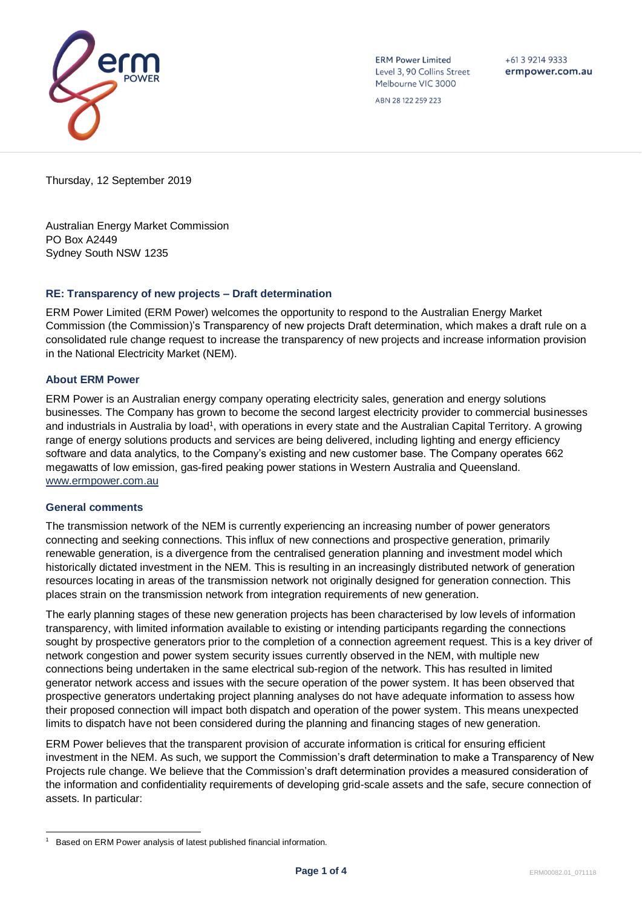

**ERM Power Limited** Level 3, 90 Collins Street Melbourne VIC 3000

 $+61392149333$ ermpower.com.au

ABN 28 122 259 223

Thursday, 12 September 2019

Australian Energy Market Commission PO Box A2449 Sydney South NSW 1235

## **RE: Transparency of new projects – Draft determination**

ERM Power Limited (ERM Power) welcomes the opportunity to respond to the Australian Energy Market Commission (the Commission)'s Transparency of new projects Draft determination, which makes a draft rule on a consolidated rule change request to increase the transparency of new projects and increase information provision in the National Electricity Market (NEM).

# **About ERM Power**

ERM Power is an Australian energy company operating electricity sales, generation and energy solutions businesses. The Company has grown to become the second largest electricity provider to commercial businesses and industrials in Australia by load<sup>1</sup>, with operations in every state and the Australian Capital Territory. A growing range of energy solutions products and services are being delivered, including lighting and energy efficiency software and data analytics, to the Company's existing and new customer base. The Company operates 662 megawatts of low emission, gas-fired peaking power stations in Western Australia and Queensland. [www.ermpower.com.au](http://www.ermpower.com.au/)

## **General comments**

The transmission network of the NEM is currently experiencing an increasing number of power generators connecting and seeking connections. This influx of new connections and prospective generation, primarily renewable generation, is a divergence from the centralised generation planning and investment model which historically dictated investment in the NEM. This is resulting in an increasingly distributed network of generation resources locating in areas of the transmission network not originally designed for generation connection. This places strain on the transmission network from integration requirements of new generation.

The early planning stages of these new generation projects has been characterised by low levels of information transparency, with limited information available to existing or intending participants regarding the connections sought by prospective generators prior to the completion of a connection agreement request. This is a key driver of network congestion and power system security issues currently observed in the NEM, with multiple new connections being undertaken in the same electrical sub-region of the network. This has resulted in limited generator network access and issues with the secure operation of the power system. It has been observed that prospective generators undertaking project planning analyses do not have adequate information to assess how their proposed connection will impact both dispatch and operation of the power system. This means unexpected limits to dispatch have not been considered during the planning and financing stages of new generation.

ERM Power believes that the transparent provision of accurate information is critical for ensuring efficient investment in the NEM. As such, we support the Commission's draft determination to make a Transparency of New Projects rule change. We believe that the Commission's draft determination provides a measured consideration of the information and confidentiality requirements of developing grid-scale assets and the safe, secure connection of assets. In particular:

l 1 Based on ERM Power analysis of latest published financial information.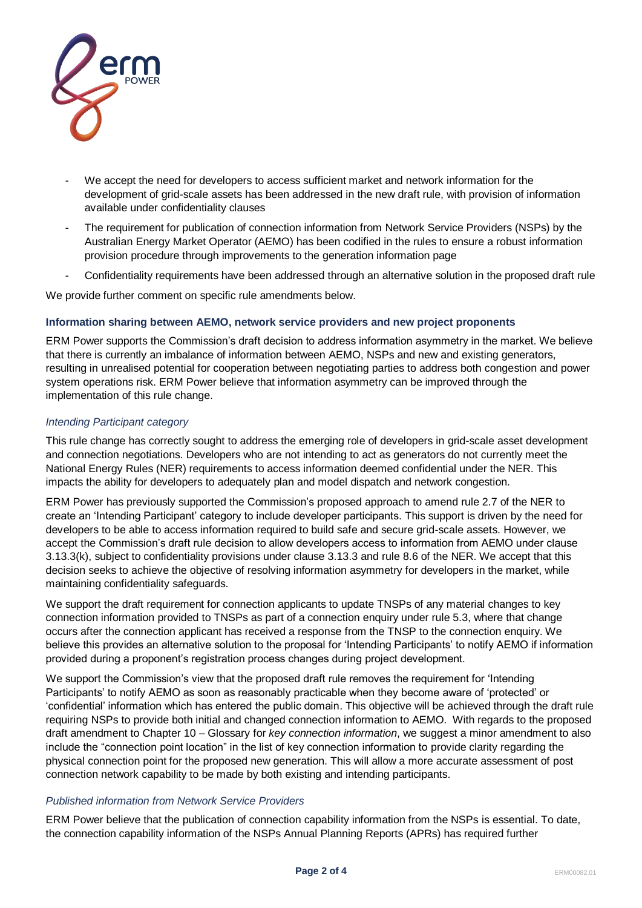

- We accept the need for developers to access sufficient market and network information for the development of grid-scale assets has been addressed in the new draft rule, with provision of information available under confidentiality clauses
- The requirement for publication of connection information from Network Service Providers (NSPs) by the Australian Energy Market Operator (AEMO) has been codified in the rules to ensure a robust information provision procedure through improvements to the generation information page
- Confidentiality requirements have been addressed through an alternative solution in the proposed draft rule

We provide further comment on specific rule amendments below.

## **Information sharing between AEMO, network service providers and new project proponents**

ERM Power supports the Commission's draft decision to address information asymmetry in the market. We believe that there is currently an imbalance of information between AEMO, NSPs and new and existing generators, resulting in unrealised potential for cooperation between negotiating parties to address both congestion and power system operations risk. ERM Power believe that information asymmetry can be improved through the implementation of this rule change.

## *Intending Participant category*

This rule change has correctly sought to address the emerging role of developers in grid-scale asset development and connection negotiations. Developers who are not intending to act as generators do not currently meet the National Energy Rules (NER) requirements to access information deemed confidential under the NER. This impacts the ability for developers to adequately plan and model dispatch and network congestion.

ERM Power has previously supported the Commission's proposed approach to amend rule 2.7 of the NER to create an 'Intending Participant' category to include developer participants. This support is driven by the need for developers to be able to access information required to build safe and secure grid-scale assets. However, we accept the Commission's draft rule decision to allow developers access to information from AEMO under clause 3.13.3(k), subject to confidentiality provisions under clause 3.13.3 and rule 8.6 of the NER. We accept that this decision seeks to achieve the objective of resolving information asymmetry for developers in the market, while maintaining confidentiality safeguards.

We support the draft requirement for connection applicants to update TNSPs of any material changes to key connection information provided to TNSPs as part of a connection enquiry under rule 5.3, where that change occurs after the connection applicant has received a response from the TNSP to the connection enquiry. We believe this provides an alternative solution to the proposal for 'Intending Participants' to notify AEMO if information provided during a proponent's registration process changes during project development.

We support the Commission's view that the proposed draft rule removes the requirement for 'Intending Participants' to notify AEMO as soon as reasonably practicable when they become aware of 'protected' or 'confidential' information which has entered the public domain. This objective will be achieved through the draft rule requiring NSPs to provide both initial and changed connection information to AEMO. With regards to the proposed draft amendment to Chapter 10 – Glossary for *key connection information*, we suggest a minor amendment to also include the "connection point location" in the list of key connection information to provide clarity regarding the physical connection point for the proposed new generation. This will allow a more accurate assessment of post connection network capability to be made by both existing and intending participants.

## *Published information from Network Service Providers*

ERM Power believe that the publication of connection capability information from the NSPs is essential. To date, the connection capability information of the NSPs Annual Planning Reports (APRs) has required further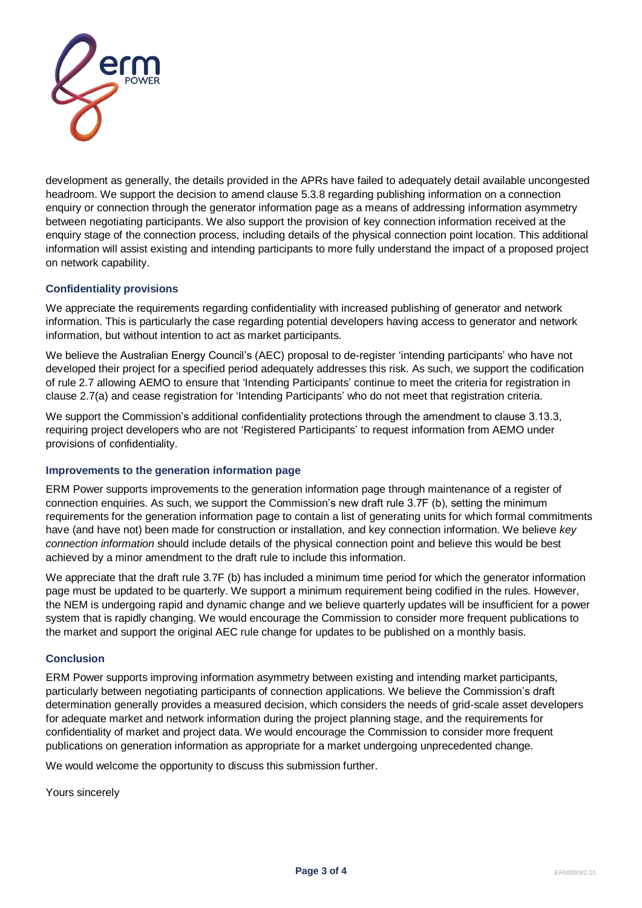

development as generally, the details provided in the APRs have failed to adequately detail available uncongested headroom. We support the decision to amend clause 5.3.8 regarding publishing information on a connection enquiry or connection through the generator information page as a means of addressing information asymmetry between negotiating participants. We also support the provision of key connection information received at the enquiry stage of the connection process, including details of the physical connection point location. This additional information will assist existing and intending participants to more fully understand the impact of a proposed project on network capability.

## **Confidentiality provisions**

We appreciate the requirements regarding confidentiality with increased publishing of generator and network information. This is particularly the case regarding potential developers having access to generator and network information, but without intention to act as market participants.

We believe the Australian Energy Council's (AEC) proposal to de-register 'intending participants' who have not developed their project for a specified period adequately addresses this risk. As such, we support the codification of rule 2.7 allowing AEMO to ensure that 'Intending Participants' continue to meet the criteria for registration in clause 2.7(a) and cease registration for 'Intending Participants' who do not meet that registration criteria.

We support the Commission's additional confidentiality protections through the amendment to clause 3.13.3, requiring project developers who are not 'Registered Participants' to request information from AEMO under provisions of confidentiality.

## **Improvements to the generation information page**

ERM Power supports improvements to the generation information page through maintenance of a register of connection enquiries. As such, we support the Commission's new draft rule 3.7F (b), setting the minimum requirements for the generation information page to contain a list of generating units for which formal commitments have (and have not) been made for construction or installation, and key connection information. We believe *key connection information* should include details of the physical connection point and believe this would be best achieved by a minor amendment to the draft rule to include this information.

We appreciate that the draft rule 3.7F (b) has included a minimum time period for which the generator information page must be updated to be quarterly. We support a minimum requirement being codified in the rules. However, the NEM is undergoing rapid and dynamic change and we believe quarterly updates will be insufficient for a power system that is rapidly changing. We would encourage the Commission to consider more frequent publications to the market and support the original AEC rule change for updates to be published on a monthly basis.

## **Conclusion**

ERM Power supports improving information asymmetry between existing and intending market participants, particularly between negotiating participants of connection applications. We believe the Commission's draft determination generally provides a measured decision, which considers the needs of grid-scale asset developers for adequate market and network information during the project planning stage, and the requirements for confidentiality of market and project data. We would encourage the Commission to consider more frequent publications on generation information as appropriate for a market undergoing unprecedented change.

We would welcome the opportunity to discuss this submission further.

Yours sincerely